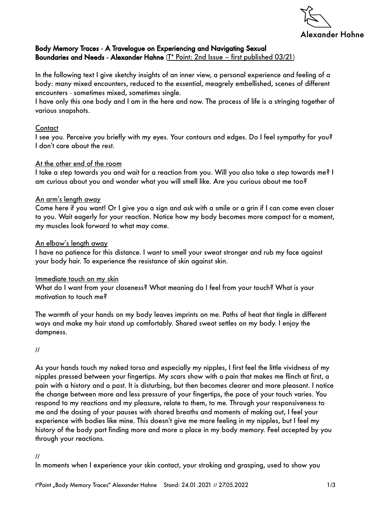

## Body Memory Traces - A Travelogue on Experiencing and Navigating Sexual Boundaries and Needs - Alexander Hahne (T\* Point: 2nd Issue – first published 03/21)

In the following text I give sketchy insights of an inner view, a personal experience and feeling of a body: many mixed encounters, reduced to the essential, meagrely embellished, scenes of different encounters - sometimes mixed, sometimes single.

I have only this one body and I am in the here and now. The process of life is a stringing together of various snapshots.

### **Contact**

I see you. Perceive you briefly with my eyes. Your contours and edges. Do I feel sympathy for you? I don't care about the rest.

### At the other end of the room

I take a step towards you and wait for a reaction from you. Will you also take a step towards me? I am curious about you and wonder what you will smell like. Are you curious about me too?

### An arm's length away

Come here if you want! Or I give you a sign and ask with a smile or a grin if I can come even closer to you. Wait eagerly for your reaction. Notice how my body becomes more compact for a moment, my muscles look forward to what may come.

### An elbow's length away

I have no patience for this distance. I want to smell your sweat stronger and rub my face against your body hair. To experience the resistance of skin against skin.

#### Immediate touch on my skin

What do I want from your closeness? What meaning do I feel from your touch? What is your motivation to touch me?

The warmth of your hands on my body leaves imprints on me. Paths of heat that tingle in different ways and make my hair stand up comfortably. Shared sweat settles on my body. I enjoy the dampness.

//

As your hands touch my naked torso and especially my nipples, I first feel the little vividness of my nipples pressed between your fingertips. My scars show with a pain that makes me flinch at first, a pain with a history and a past. It is disturbing, but then becomes clearer and more pleasant. I notice the change between more and less pressure of your fingertips, the pace of your touch varies. You respond to my reactions and my pleasure, relate to them, to me. Through your responsiveness to me and the dosing of your pauses with shared breaths and moments of making out, I feel your experience with bodies like mine. This doesn't give me more feeling in my nipples, but I feel my history of the body part finding more and more a place in my body memory. Feel accepted by you through your reactions.

#### //

In moments when I experience your skin contact, your stroking and grasping, used to show you

t\*Point "Body Memory Traces" Alexander Hahne Stand: 24.01.2021 // 27.05.2022 1/3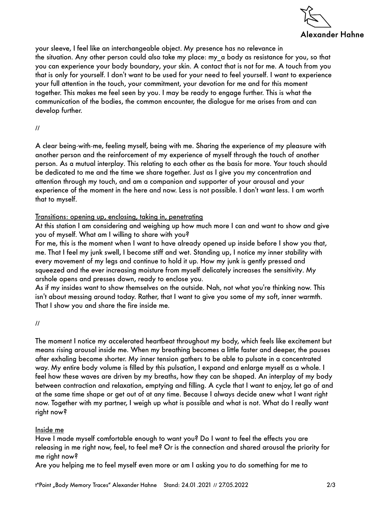

your sleeve, I feel like an interchangeable object. My presence has no relevance in the situation. Any other person could also take my place: my\_a body as resistance for you, so that you can experience your body boundary, your skin. A contact that is not for me. A touch from you that is only for yourself. I don't want to be used for your need to feel yourself. I want to experience your full attention in the touch, your commitment, your devotion for me and for this moment together. This makes me feel seen by you. I may be ready to engage further. This is what the communication of the bodies, the common encounter, the dialogue for me arises from and can develop further.

//

A clear being-with-me, feeling myself, being with me. Sharing the experience of my pleasure with another person and the reinforcement of my experience of myself through the touch of another person. As a mutual interplay. This relating to each other as the basis for more. Your touch should be dedicated to me and the time we share together. Just as I give you my concentration and attention through my touch, and am a companion and supporter of your arousal and your experience of the moment in the here and now. Less is not possible. I don't want less. I am worth that to myself.

# Transitions: opening up, enclosing, taking in, penetrating

At this station I am considering and weighing up how much more I can and want to show and give you of myself. What am I willing to share with you?

For me, this is the moment when I want to have already opened up inside before I show you that, me. That I feel my junk swell, I become stiff and wet. Standing up, I notice my inner stability with every movement of my legs and continue to hold it up. How my junk is gently pressed and squeezed and the ever increasing moisture from myself delicately increases the sensitivity. My arshole opens and presses down, ready to enclose you.

As if my insides want to show themselves on the outside. Nah, not what you're thinking now. This isn't about messing around today. Rather, that I want to give you some of my soft, inner warmth. That I show you and share the fire inside me.

//

The moment I notice my accelerated heartbeat throughout my body, which feels like excitement but means rising arousal inside me. When my breathing becomes a little faster and deeper, the pauses after exhaling become shorter. My inner tension gathers to be able to pulsate in a concentrated way. My entire body volume is filled by this pulsation, I expand and enlarge myself as a whole. I feel how these waves are driven by my breaths, how they can be shaped. An interplay of my body between contraction and relaxation, emptying and filling. A cycle that I want to enjoy, let go of and at the same time shape or get out of at any time. Because I always decide anew what I want right now. Together with my partner, I weigh up what is possible and what is not. What do I really want right now?

## Inside me

Have I made myself comfortable enough to want you? Do I want to feel the effects you are releasing in me right now, feel, to feel me? Or is the connection and shared arousal the priority for me right now?

Are you helping me to feel myself even more or am I asking you to do something for me to

t\*Point "Body Memory Traces" Alexander Hahne Stand: 24.01.2021 // 27.05.2022 2/3